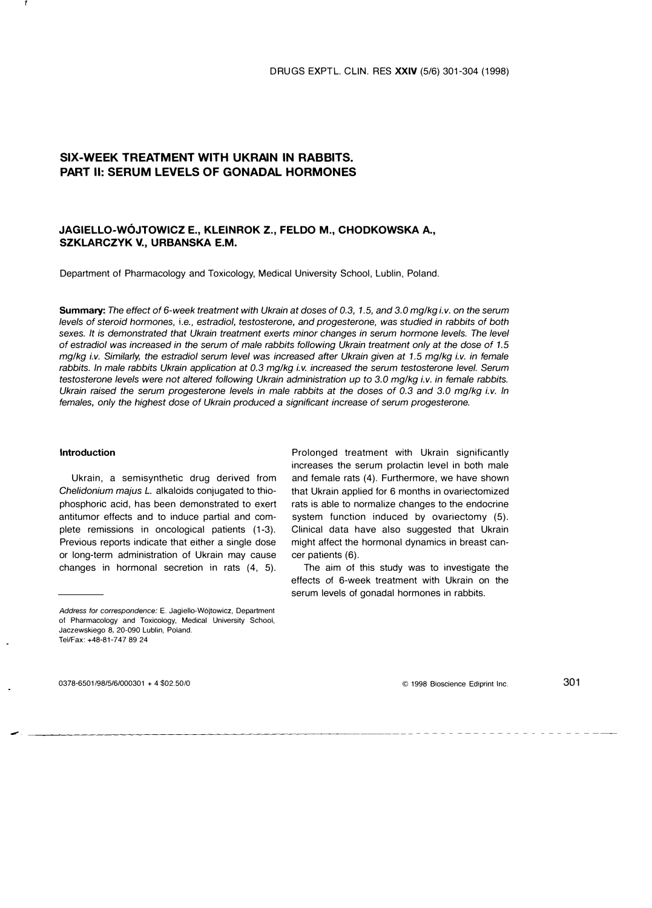# SIX-WEEK TREATMENT WITH UKRAIN IN RABBITS. PART II: SERUM LEVELS OF GONADAL HORMONES

## JAGIELLO-WOJTOWICZ E., KLEINROK Z., FELDO M., CHODKOWSKA A., SZKLARCZYK V., URBANSKA E.M.

Department of Pharmacology and Toxicology, Medical University School, Lublin, Poland.

Summary: The effect of 6-week treatment with Ukrain at doses of 0.3, 1.5, and 3.0 mg/kg i.v. on the serum levels of steroid hormones, i.e., estradiol, testosterone, and progesterone, was studied in rabbits of both sexes. It is demonstrated that Ukrain treatment exerts minor changes in serum hormone levels. The level of estradiol was increased in the serum of male rabbits following Ukrain treatment only at the dose of 1.5 mg/kg i.v. Similarly, the estradiol serum level was increased after Ukrain given at 1.5 mg/kg i.v. in female rabbits. In male rabbits Ukrain application at 0.3 mg/kg i.v. increased the serum testosterone level. Serum testosterone levels were not altered following Ukrain administration up to 3.0 mg/kg i.v. in female rabbits. Ukrain raised the serum progesterone levels in male rabbits at the doses of 0.3 and 3.0 mg/kg i.v. In females, only the highest dose of Ukrain produced a significant increase of serum progesterone.

## Introduction

Ukrain, a semisynthetic drug derived from Chelidonium majus L. alkaloids conjugated to thiophosphoriC acid, has been demonstrated to exert antitumor effects and to induce partial and complete remissions in oncological patients (1-3). Previous reports indicate that either a single dose or long-term administration of Ukrain may cause changes in hormonal secretion in rats (4, 5).

0378-6501198/5/6/000301 + 4 \$02.5010

--

Prolonged treatment with Ukrain significantly increases the serum prolactin level in both male and female rats (4). Furthermore, we have shown that Ukrain applied for 6 months in ovariectomized rats is able to normalize changes to the endocrine system function induced by ovariectomy (5). Clinical data have also suggested that Ukrain might affect the hormonal dynamics in breast cancer patients (6).

The aim of this study was to investigate the effects of 6-week treatment with Ukrain on the serum levels of gonadal hormones in rabbits.

© 1998 Bioscience Ediprint Inc. 301

Address for correspondence: E. Jagiello-Wojtowicz, Department of Pharmacology and Toxicology, Medical University School, Jaczewskiego 8, 20-090 Lublin, Poland. Tel/Fax: +48-81-747 89 24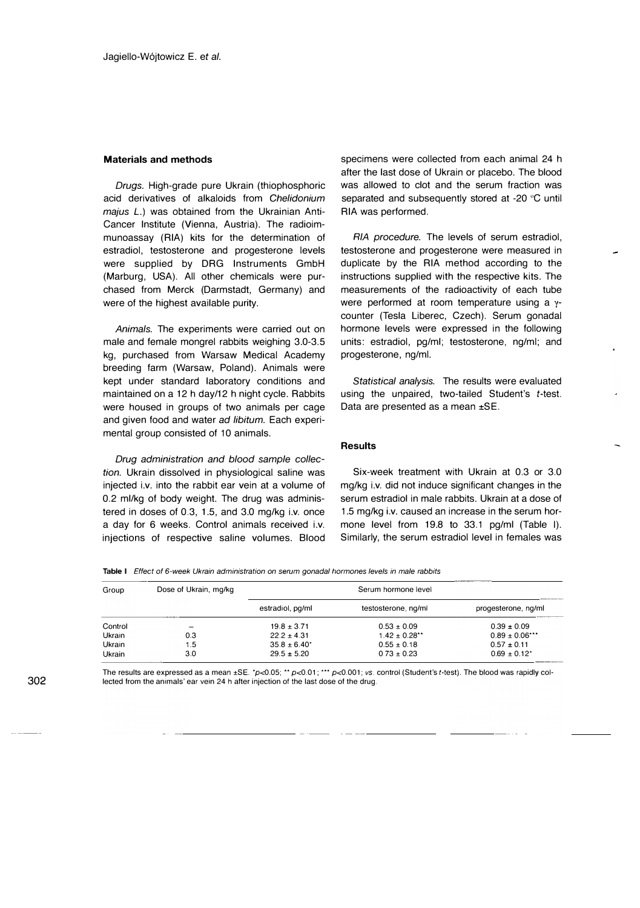#### Materials and methods

Drugs. High-grade pure Ukrain (thiophosphoric acid derivatives of alkaloids from Chelidonium majus L.) was obtained from the Ukrainian Anti-Cancer Institute (Vienna, Austria). The radioimmunoassay (RIA) kits for the determination of estradiol, testosterone and progesterone levels were supplied by DRG Instruments GmbH (Marburg, USA). All other chemicals were purchased from Merck (Darmstadt, Germany) and were of the highest available purity.

Animals. The experiments were carried out on male and female mongrel rabbits weighing 3.0-3.5 kg, purchased from Warsaw Medical Academy breeding farm (Warsaw, Poland). Animals were kept under standard laboratory conditions and maintained on a 12 h day/12 h night cycle. Rabbits were housed in groups of two animals per cage and given food and water ad libitum. Each experimental group consisted of 10 animals.

Drug administration and blood sample collection. Ukrain dissolved in physiological saline was injected i.v. into the rabbit ear vein at a volume of 0.2 ml/kg of body weight. The drug was administered in doses of 0.3, 1.5, and 3.0 mg/kg i.v. once a day for 6 weeks. Control animals received i.v. injections of respective saline volumes. Blood specimens were collected from each animal 24 h after the last dose of Ukrain or placebo. The blood was allowed to clot and the serum fraction was separated and subsequently stored at -20°C until RIA was performed.

RIA procedure. The levels of serum estradiol, testosterone and progesterone were measured in duplicate by the RIA method according to the instructions supplied with the respective kits. The measurements of the radioactivity of each tube were performed at room temperature using a γcounter (Tesla Liberec, Czech). Serum gonadal hormone levels were expressed in the following units: estradiol, pg/ml; testosterone, ng/ml; and progesterone, ng/ml.

Statistical analysis. The results were evaluated using the unpaired, two-tailed Student's  $t$ -test. Data are presented as a mean ±SE.

### **Results**

Six-week treatment with Ukrain at 0.3 or 3.0 mg/kg i.v. did not induce significant changes in the serum estradiol in male rabbits. Ukrain at a dose of 1.5 mg/kg i.v. caused an increase in the serum hormone level from 19.8 to 33.1 pg/ml (Table I). Similarly, the serum estradiol level in females was

Table I Effect of 6-week Ukrain administration on serum gonadal hormones levels in male rabbits

| Group   | Dose of Ukrain, mg/kg | Serum hormone level |                     |                              |
|---------|-----------------------|---------------------|---------------------|------------------------------|
|         |                       | estradiol, pg/ml    | testosterone, ng/ml | progesterone, ng/ml          |
| Control |                       | $19.8 \pm 3.71$     | $0.53 \pm 0.09$     | $0.39 \pm 0.09$              |
| Ukrain  | 0.3                   | $22.2 \pm 4.31$     | $1.42 \pm 0.28$ **  | $0.89 \pm 0.06$ ***          |
| Ukrain  | 1.5                   | $35.8 \pm 6.40^*$   | $0.55 \pm 0.18$     | $0.57 \pm 0.11$              |
| Ukrain  | 3.0                   | $29.5 \pm 5.20$     | $0.73 \pm 0.23$     | $0.69 \pm 0.12$ <sup>*</sup> |

The results are expressed as a mean  $\pm$ SE.  $^{\star}p$ <0.05; \*\*  $p$ <0.01; \*\*  $p$ <0.001; vs. control (Student's t-test). The blood was rapidly collected from the animals' ear vein 24 h after injection of the last dose of the drug.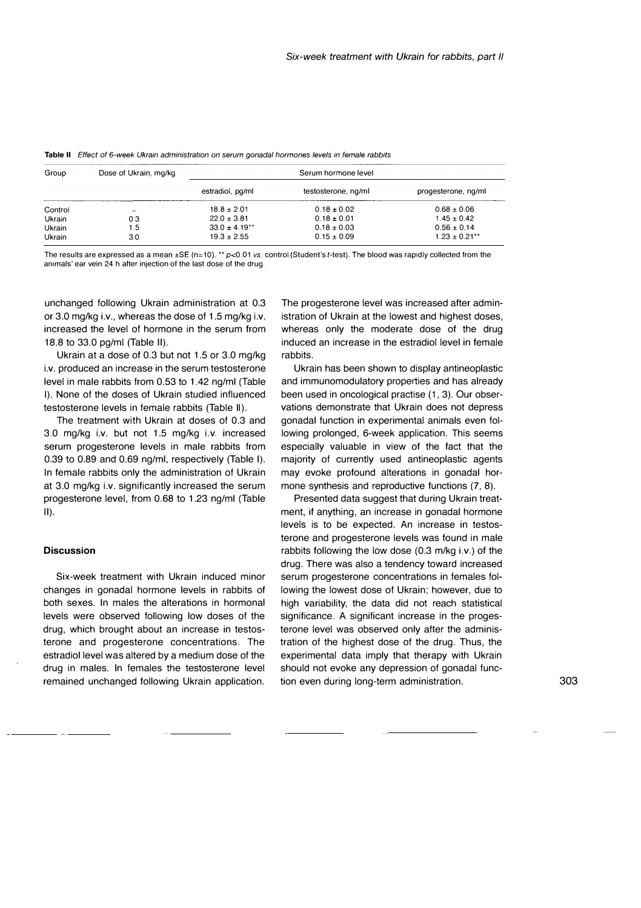| Group   | Dose of Ukrain, mg/kg | Serum hormone level |                     |                     |
|---------|-----------------------|---------------------|---------------------|---------------------|
|         |                       | estradiol, pg/ml    | testosterone, ng/ml | progesterone, ng/ml |
| Control | <b>Taker</b>          | $18.8 \pm 2.01$     | $0.18 \pm 0.02$     | $0.68 \pm 0.06$     |
| Ukrain  | 0.3                   | $22.0 \pm 3.81$     | $0.18 \pm 0.01$     | $1.45 \pm 0.42$     |
| Ukrain  | 1.5                   | $33.0 \pm 4.19**$   | $0.18 \pm 0.03$     | $0.56 \pm 0.14$     |
| Ukrain  | 3.0                   | $19.3 \pm 2.55$     | $0.15 \pm 0.09$     | $1.23 \pm 0.21$ **  |

Table II Effect of 6-week Ukrain administration on serum gonadal hormones levels in female rabbits

The results are expressed as a mean  $\pm$ SE (n=10), \*\*  $p$ <0.01 vs. control (Student's t-test). The blood was rapidly collected from the animals' ear vein 24 h after injection of the last dose of the drug.

unchanged following Ukrain administration at 0.3 or 3.0 mg/kg i.v., whereas the dose of 1.5 mg/kg i.v. increased the level of hormone in the serum from 18.8 to 33.0 pg/ml (Table II).

Ukrain at a dose of 0.3 but not 1.5 or 3.0 mg/kg i.v. produced an increase in the serum testosterone level in male rabbits from 0.53 to 1.42 ng/ml (Table I). None of the doses of Ukrain studied influenced testosterone levels in female rabbits (Table II).

The treatment with Ukrain at doses of 0.3 and 3.0 mg/kg i.v. but not 1.5 mg/kg i.v. increased serum progesterone levels in male rabbits from 0.39 to 0.89 and 0.69 ng/ml, respectively (Table I). In female rabbits only the administration of Ukrain at 3.0 mg/kg i.v. significantly increased the serum progesterone level, from 0.68 to 1.23 ng/ml (Table II).

### **Discussion**

Six-week treatment with Ukrain induced minor changes in gonadal hormone levels in rabbits of both sexes. In males the alterations in hormonal levels were observed following low doses of the drug, which brought about an increase in testosterone and progesterone concentrations. The estradiol level was altered by a medium dose of the drug in males. In females the testosterone level remained unchanged following Ukrain application.

The progesterone level was increased after administration of Ukrain at the lowest and highest doses, whereas only the moderate dose of the drug induced an increase in the estradiol level in female rabbits.

Ukrain has been shown to display antineoplastic and immunomodulatory properties and has already been used in oncological practise (1, 3). Our observations demonstrate that Ukrain does not depress gonadal function in experimental animals even following prolonged, 6-week application. This seems especially valuable in view of the fact that the majority of currently used antineoplastic agents may evoke profound alterations in gonadal hormone synthesis and reproductive functions (7, 8).

Presented data suggest that during Ukrain treatment, if anything, an increase in gonadal hormone levels is to be expected. An increase in testosterone and progesterone levels was found in male rabbits following the low dose (0.3 m/kg i.v.) of the drug. There was also a tendency toward increased serum progesterone concentrations in females following the lowest dose of Ukrain; however, due to high variability, the data did not reach statistical significance. A significant increase in the progesterone level was observed only after the administration of the highest dose of the drug. Thus, the experimental data imply that therapy with Ukrain should not evoke any depression of gonadal function even during long-term administration. 303